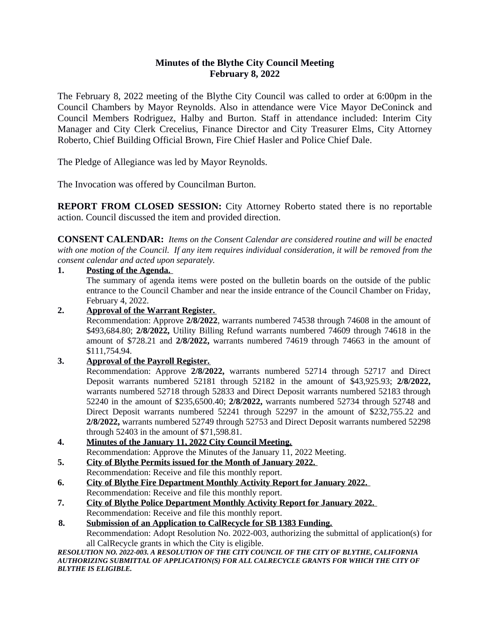# **Minutes of the Blythe City Council Meeting February 8, 2022**

The February 8, 2022 meeting of the Blythe City Council was called to order at 6:00pm in the Council Chambers by Mayor Reynolds. Also in attendance were Vice Mayor DeConinck and Council Members Rodriguez, Halby and Burton. Staff in attendance included: Interim City Manager and City Clerk Crecelius, Finance Director and City Treasurer Elms, City Attorney Roberto, Chief Building Official Brown, Fire Chief Hasler and Police Chief Dale.

The Pledge of Allegiance was led by Mayor Reynolds.

The Invocation was offered by Councilman Burton.

**REPORT FROM CLOSED SESSION:** City Attorney Roberto stated there is no reportable action. Council discussed the item and provided direction.

**CONSENT CALENDAR:** *Items on the Consent Calendar are considered routine and will be enacted* with one motion of the Council. If any item requires individual consideration, it will be removed from the *consent calendar and acted upon separately.*

## **1. Posting of the Agenda.**

The summary of agenda items were posted on the bulletin boards on the outside of the public entrance to the Council Chamber and near the inside entrance of the Council Chamber on Friday, February 4, 2022.

## **2. Approval of the Warrant Register.**

Recommendation: Approve **2/8/2022**, warrants numbered 74538 through 74608 in the amount of \$493,684.80; **2/8/2022,** Utility Billing Refund warrants numbered 74609 through 74618 in the amount of \$728.21 and **2/8/2022,** warrants numbered 74619 through 74663 in the amount of \$111,754.94.

# **3. Approval of the Payroll Register.**

Recommendation: Approve **2/8/2022,** warrants numbered 52714 through 52717 and Direct Deposit warrants numbered 52181 through 52182 in the amount of \$43,925.93; **2/8/2022,** warrants numbered 52718 through 52833 and Direct Deposit warrants numbered 52183 through 52240 in the amount of \$235,6500.40; **2/8/2022,** warrants numbered 52734 through 52748 and Direct Deposit warrants numbered 52241 through 52297 in the amount of \$232,755.22 and **2/8/2022,** warrants numbered 52749 through 52753 and Direct Deposit warrants numbered 52298 through 52403 in the amount of \$71,598.81.

- **4. Minutes of the January 11, 2022 City Council Meeting.** Recommendation: Approve the Minutes of the January 11, 2022 Meeting.
- **5. City of Blythe Permits issued for the Month of January 2022.**
- Recommendation: Receive and file this monthly report.
- **6. City of Blythe Fire Department Monthly Activity Report for January 2022.**  Recommendation: Receive and file this monthly report.
- **7. City of Blythe Police Department Monthly Activity Report for January 2022.**  Recommendation: Receive and file this monthly report.

**8. Submission of an Application to CalRecycle for SB 1383 Funding.** Recommendation: Adopt Resolution No. 2022-003, authorizing the submittal of application(s) for all CalRecycle grants in which the City is eligible.

*RESOLUTION NO. 2022-003. A RESOLUTION OF THE CITY COUNCIL OF THE CITY OF BLYTHE, CALIFORNIA AUTHORIZING SUBMITTAL OF APPLICATION(S) FOR ALL CALRECYCLE GRANTS FOR WHICH THE CITY OF BLYTHE IS ELIGIBLE.*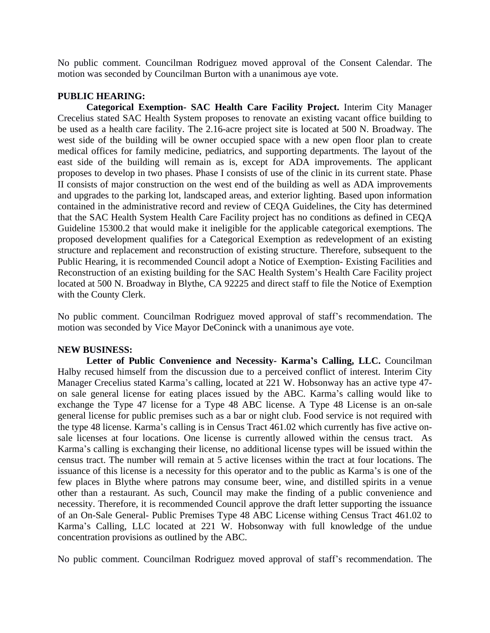No public comment. Councilman Rodriguez moved approval of the Consent Calendar. The motion was seconded by Councilman Burton with a unanimous aye vote.

# **PUBLIC HEARING:**

**Categorical Exemption- SAC Health Care Facility Project.** Interim City Manager Crecelius stated SAC Health System proposes to renovate an existing vacant office building to be used as a health care facility. The 2.16-acre project site is located at 500 N. Broadway. The west side of the building will be owner occupied space with a new open floor plan to create medical offices for family medicine, pediatrics, and supporting departments. The layout of the east side of the building will remain as is, except for ADA improvements. The applicant proposes to develop in two phases. Phase I consists of use of the clinic in its current state. Phase II consists of major construction on the west end of the building as well as ADA improvements and upgrades to the parking lot, landscaped areas, and exterior lighting. Based upon information contained in the administrative record and review of CEQA Guidelines, the City has determined that the SAC Health System Health Care Facility project has no conditions as defined in CEQA Guideline 15300.2 that would make it ineligible for the applicable categorical exemptions. The proposed development qualifies for a Categorical Exemption as redevelopment of an existing structure and replacement and reconstruction of existing structure. Therefore, subsequent to the Public Hearing, it is recommended Council adopt a Notice of Exemption- Existing Facilities and Reconstruction of an existing building for the SAC Health System's Health Care Facility project located at 500 N. Broadway in Blythe, CA 92225 and direct staff to file the Notice of Exemption with the County Clerk.

No public comment. Councilman Rodriguez moved approval of staff's recommendation. The motion was seconded by Vice Mayor DeConinck with a unanimous aye vote.

## **NEW BUSINESS:**

**Letter of Public Convenience and Necessity- Karma's Calling, LLC.** Councilman Halby recused himself from the discussion due to a perceived conflict of interest. Interim City Manager Crecelius stated Karma's calling, located at 221 W. Hobsonway has an active type 47 on sale general license for eating places issued by the ABC. Karma's calling would like to exchange the Type 47 license for a Type 48 ABC license. A Type 48 License is an on-sale general license for public premises such as a bar or night club. Food service is not required with the type 48 license. Karma's calling is in Census Tract 461.02 which currently has five active onsale licenses at four locations. One license is currently allowed within the census tract. As Karma's calling is exchanging their license, no additional license types will be issued within the census tract. The number will remain at 5 active licenses within the tract at four locations. The issuance of this license is a necessity for this operator and to the public as Karma's is one of the few places in Blythe where patrons may consume beer, wine, and distilled spirits in a venue other than a restaurant. As such, Council may make the finding of a public convenience and necessity. Therefore, it is recommended Council approve the draft letter supporting the issuance of an On-Sale General- Public Premises Type 48 ABC License withing Census Tract 461.02 to Karma's Calling, LLC located at 221 W. Hobsonway with full knowledge of the undue concentration provisions as outlined by the ABC.

No public comment. Councilman Rodriguez moved approval of staff's recommendation. The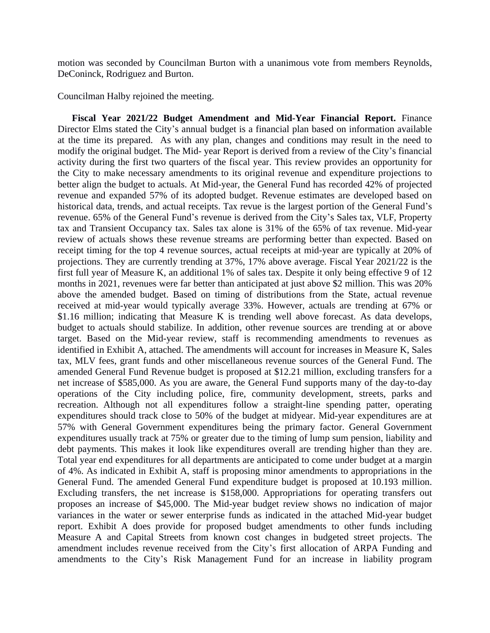motion was seconded by Councilman Burton with a unanimous vote from members Reynolds, DeConinck, Rodriguez and Burton.

Councilman Halby rejoined the meeting.

**Fiscal Year 2021/22 Budget Amendment and Mid-Year Financial Report.** Finance Director Elms stated the City's annual budget is a financial plan based on information available at the time its prepared. As with any plan, changes and conditions may result in the need to modify the original budget. The Mid- year Report is derived from a review of the City's financial activity during the first two quarters of the fiscal year. This review provides an opportunity for the City to make necessary amendments to its original revenue and expenditure projections to better align the budget to actuals. At Mid-year, the General Fund has recorded 42% of projected revenue and expanded 57% of its adopted budget. Revenue estimates are developed based on historical data, trends, and actual receipts. Tax revue is the largest portion of the General Fund's revenue. 65% of the General Fund's revenue is derived from the City's Sales tax, VLF, Property tax and Transient Occupancy tax. Sales tax alone is 31% of the 65% of tax revenue. Mid-year review of actuals shows these revenue streams are performing better than expected. Based on receipt timing for the top 4 revenue sources, actual receipts at mid-year are typically at 20% of projections. They are currently trending at 37%, 17% above average. Fiscal Year 2021/22 is the first full year of Measure K, an additional 1% of sales tax. Despite it only being effective 9 of 12 months in 2021, revenues were far better than anticipated at just above \$2 million. This was 20% above the amended budget. Based on timing of distributions from the State, actual revenue received at mid-year would typically average 33%. However, actuals are trending at 67% or \$1.16 million; indicating that Measure K is trending well above forecast. As data develops, budget to actuals should stabilize. In addition, other revenue sources are trending at or above target. Based on the Mid-year review, staff is recommending amendments to revenues as identified in Exhibit A, attached. The amendments will account for increases in Measure K, Sales tax, MLV fees, grant funds and other miscellaneous revenue sources of the General Fund. The amended General Fund Revenue budget is proposed at \$12.21 million, excluding transfers for a net increase of \$585,000. As you are aware, the General Fund supports many of the day-to-day operations of the City including police, fire, community development, streets, parks and recreation. Although not all expenditures follow a straight-line spending patter, operating expenditures should track close to 50% of the budget at midyear. Mid-year expenditures are at 57% with General Government expenditures being the primary factor. General Government expenditures usually track at 75% or greater due to the timing of lump sum pension, liability and debt payments. This makes it look like expenditures overall are trending higher than they are. Total year end expenditures for all departments are anticipated to come under budget at a margin of 4%. As indicated in Exhibit A, staff is proposing minor amendments to appropriations in the General Fund. The amended General Fund expenditure budget is proposed at 10.193 million. Excluding transfers, the net increase is \$158,000. Appropriations for operating transfers out proposes an increase of \$45,000. The Mid-year budget review shows no indication of major variances in the water or sewer enterprise funds as indicated in the attached Mid-year budget report. Exhibit A does provide for proposed budget amendments to other funds including Measure A and Capital Streets from known cost changes in budgeted street projects. The amendment includes revenue received from the City's first allocation of ARPA Funding and amendments to the City's Risk Management Fund for an increase in liability program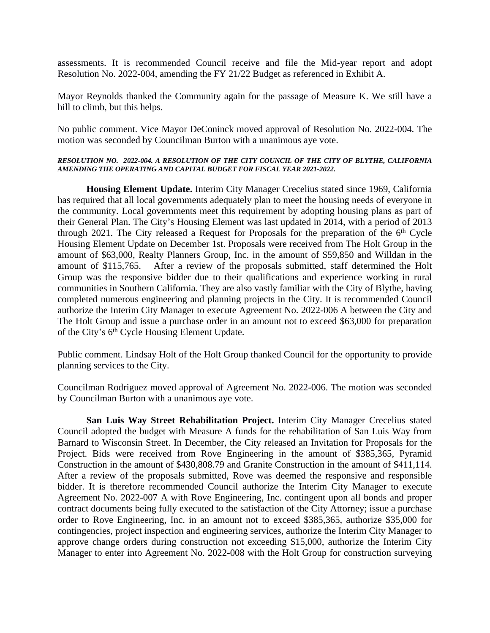assessments. It is recommended Council receive and file the Mid-year report and adopt Resolution No. 2022-004, amending the FY 21/22 Budget as referenced in Exhibit A.

Mayor Reynolds thanked the Community again for the passage of Measure K. We still have a hill to climb, but this helps.

No public comment. Vice Mayor DeConinck moved approval of Resolution No. 2022-004. The motion was seconded by Councilman Burton with a unanimous aye vote.

#### *RESOLUTION NO. 2022-004. A RESOLUTION OF THE CITY COUNCIL OF THE CITY OF BLYTHE, CALIFORNIA AMENDING THE OPERATING AND CAPITAL BUDGET FOR FISCAL YEAR 2021-2022.*

**Housing Element Update.** Interim City Manager Crecelius stated since 1969, California has required that all local governments adequately plan to meet the housing needs of everyone in the community. Local governments meet this requirement by adopting housing plans as part of their General Plan. The City's Housing Element was last updated in 2014, with a period of 2013 through 2021. The City released a Request for Proposals for the preparation of the  $6<sup>th</sup>$  Cycle Housing Element Update on December 1st. Proposals were received from The Holt Group in the amount of \$63,000, Realty Planners Group, Inc. in the amount of \$59,850 and Willdan in the amount of \$115,765. After a review of the proposals submitted, staff determined the Holt Group was the responsive bidder due to their qualifications and experience working in rural communities in Southern California. They are also vastly familiar with the City of Blythe, having completed numerous engineering and planning projects in the City. It is recommended Council authorize the Interim City Manager to execute Agreement No. 2022-006 A between the City and The Holt Group and issue a purchase order in an amount not to exceed \$63,000 for preparation of the City's 6th Cycle Housing Element Update.

Public comment. Lindsay Holt of the Holt Group thanked Council for the opportunity to provide planning services to the City.

Councilman Rodriguez moved approval of Agreement No. 2022-006. The motion was seconded by Councilman Burton with a unanimous aye vote.

**San Luis Way Street Rehabilitation Project.** Interim City Manager Crecelius stated Council adopted the budget with Measure A funds for the rehabilitation of San Luis Way from Barnard to Wisconsin Street. In December, the City released an Invitation for Proposals for the Project. Bids were received from Rove Engineering in the amount of \$385,365, Pyramid Construction in the amount of \$430,808.79 and Granite Construction in the amount of \$411,114. After a review of the proposals submitted, Rove was deemed the responsive and responsible bidder. It is therefore recommended Council authorize the Interim City Manager to execute Agreement No. 2022-007 A with Rove Engineering, Inc. contingent upon all bonds and proper contract documents being fully executed to the satisfaction of the City Attorney; issue a purchase order to Rove Engineering, Inc. in an amount not to exceed \$385,365, authorize \$35,000 for contingencies, project inspection and engineering services, authorize the Interim City Manager to approve change orders during construction not exceeding \$15,000, authorize the Interim City Manager to enter into Agreement No. 2022-008 with the Holt Group for construction surveying